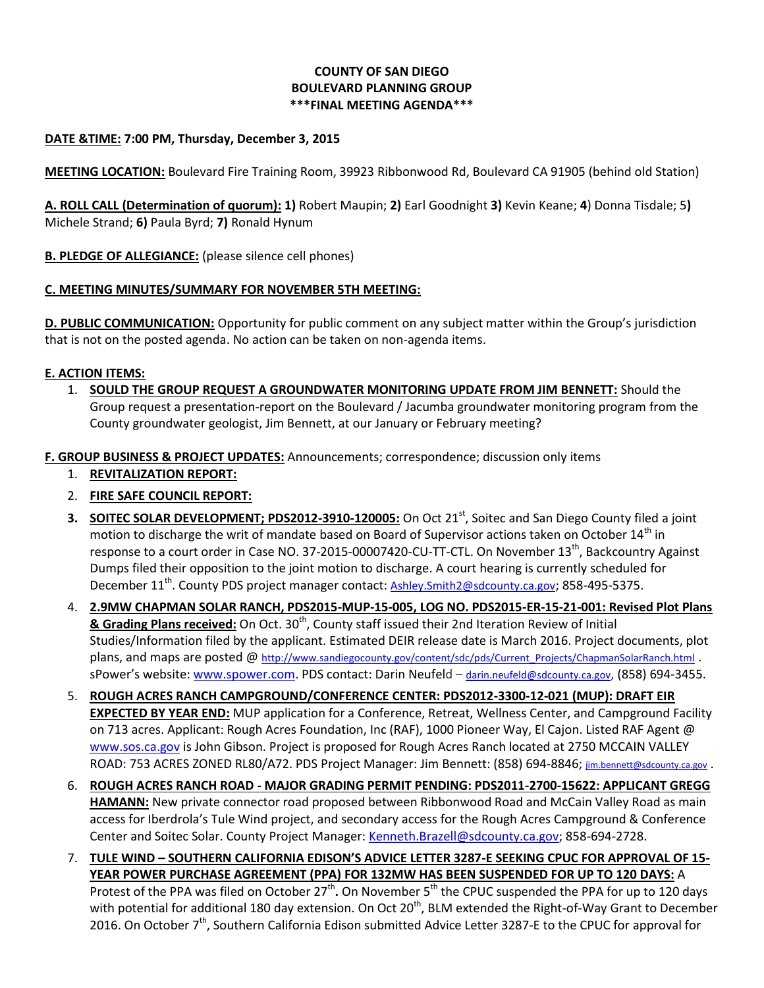# **COUNTY OF SAN DIEGO BOULEVARD PLANNING GROUP \*\*\*FINAL MEETING AGENDA\*\*\***

## **DATE &TIME: 7:00 PM, Thursday, December 3, 2015**

**MEETING LOCATION:** Boulevard Fire Training Room, 39923 Ribbonwood Rd, Boulevard CA 91905 (behind old Station)

**A. ROLL CALL (Determination of quorum): 1)** Robert Maupin; **2)** Earl Goodnight **3)** Kevin Keane; **4**) Donna Tisdale; 5**)**  Michele Strand; **6)** Paula Byrd; **7)** Ronald Hynum

**B. PLEDGE OF ALLEGIANCE:** (please silence cell phones)

## **C. MEETING MINUTES/SUMMARY FOR NOVEMBER 5TH MEETING:**

**D. PUBLIC COMMUNICATION:** Opportunity for public comment on any subject matter within the Group's jurisdiction that is not on the posted agenda. No action can be taken on non-agenda items.

## **E. ACTION ITEMS:**

1. **SOULD THE GROUP REQUEST A GROUNDWATER MONITORING UPDATE FROM JIM BENNETT:** Should the Group request a presentation-report on the Boulevard / Jacumba groundwater monitoring program from the County groundwater geologist, Jim Bennett, at our January or February meeting?

**F. GROUP BUSINESS & PROJECT UPDATES:** Announcements; correspondence; discussion only items

- 1. **REVITALIZATION REPORT:**
- 2. **FIRE SAFE COUNCIL REPORT:**
- **3. SOITEC SOLAR DEVELOPMENT; PDS2012-3910-120005:** On Oct 21<sup>st</sup>, Soitec and San Diego County filed a joint motion to discharge the writ of mandate based on Board of Supervisor actions taken on October 14<sup>th</sup> in response to a court order in Case NO. 37-2015-00007420-CU-TT-CTL. On November 13<sup>th</sup>, Backcountry Against Dumps filed their opposition to the joint motion to discharge. A court hearing is currently scheduled for December 11<sup>th</sup>. County PDS project manager contact: [Ashley.Smith2@sdcounty.ca.gov](mailto:Ashley.Smith2@sdcounty.ca.gov); 858-495-5375.
- 4. **2.9MW CHAPMAN SOLAR RANCH, PDS2015-MUP-15-005, LOG NO. PDS2015-ER-15-21-001: Revised Plot Plans & Grading Plans received:** On Oct. 30<sup>th</sup>, County staff issued their 2nd Iteration Review of Initial Studies/Information filed by the applicant. Estimated DEIR release date is March 2016. Project documents, plot plans, and maps are posted @ [http://www.sandiegocounty.gov/content/sdc/pds/Current\\_Projects/ChapmanSolarRanch.html](http://www.sandiegocounty.gov/content/sdc/pds/Current_Projects/ChapmanSolarRanch.html) . sPower's website: [www.spower.com.](http://www.spower.com/) PDS contact: Darin Neufeld – [darin.neufeld@sdcounty.ca.gov](mailto:darin.neufeld@sdcounty.ca.gov), (858) 694-3455.
- 5. **ROUGH ACRES RANCH CAMPGROUND/CONFERENCE CENTER: PDS2012-3300-12-021 (MUP): DRAFT EIR EXPECTED BY YEAR END:** MUP application for a Conference, Retreat, Wellness Center, and Campground Facility on 713 acres. Applicant: Rough Acres Foundation, Inc (RAF), 1000 Pioneer Way, El Cajon. Listed RAF Agent @ [www.sos.ca.gov](http://www.sos.ca.gov/) is John Gibson. Project is proposed for Rough Acres Ranch located at 2750 MCCAIN VALLEY ROAD: 753 ACRES ZONED RL80/A72. PDS Project Manager: Jim Bennett: (858) 694-8846; [jim.bennett@sdcounty.ca.gov](mailto:jim.bennett@sdcounty.ca.gov) .
- 6. **ROUGH ACRES RANCH ROAD - MAJOR GRADING PERMIT PENDING: PDS2011-2700-15622: APPLICANT GREGG HAMANN:** New private connector road proposed between Ribbonwood Road and McCain Valley Road as main access for Iberdrola's Tule Wind project, and secondary access for the Rough Acres Campground & Conference Center and Soitec Solar. County Project Manager[: Kenneth.Brazell@sdcounty.ca.gov;](mailto:Kenneth.Brazell@sdcounty.ca.gov) 858-694-2728.
- 7. **TULE WIND – SOUTHERN CALIFORNIA EDISON'S ADVICE LETTER 3287-E SEEKING CPUC FOR APPROVAL OF 15- YEAR POWER PURCHASE AGREEMENT (PPA) FOR 132MW HAS BEEN SUSPENDED FOR UP TO 120 DAYS:** A Protest of the PPA was filed on October 27<sup>th</sup>. On November 5<sup>th</sup> the CPUC suspended the PPA for up to 120 days with potential for additional 180 day extension. On Oct 20<sup>th</sup>, BLM extended the Right-of-Way Grant to December 2016. On October 7<sup>th</sup>, Southern California Edison submitted Advice Letter 3287-E to the CPUC for approval for